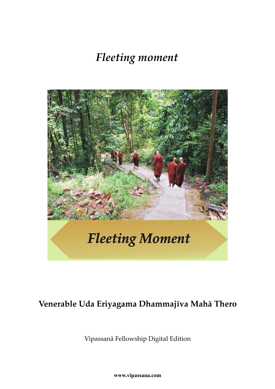# *Fleeting moment*



### **Venerable Uda Eriyagama Dhammajīva Mahā Thero**

Vipassanā Fellowship Digital Edition

**www.vipassana.com**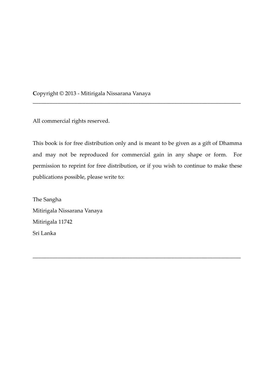**C**opyright © 2013 - Mitirigala Nissarana Vanaya

All commercial rights reserved.

This book is for free distribution only and is meant to be given as a gift of Dhamma and may not be reproduced for commercial gain in any shape or form. For permission to reprint for free distribution, or if you wish to continue to make these publications possible, please write to:

\_\_\_\_\_\_\_\_\_\_\_\_\_\_\_\_\_\_\_\_\_\_\_\_\_\_\_\_\_\_\_\_\_\_\_\_\_\_\_\_\_\_\_\_\_\_\_\_\_\_\_\_\_\_\_\_\_\_\_\_\_\_\_\_\_\_\_\_\_\_\_\_\_\_\_

\_\_\_\_\_\_\_\_\_\_\_\_\_\_\_\_\_\_\_\_\_\_\_\_\_\_\_\_\_\_\_\_\_\_\_\_\_\_\_\_\_\_\_\_\_\_\_\_\_\_\_\_\_\_\_\_\_\_\_\_\_\_\_\_\_\_\_\_\_\_\_\_\_\_\_

The Sangha Mitirigala Nissarana Vanaya Mitirigala 11742 Sri Lanka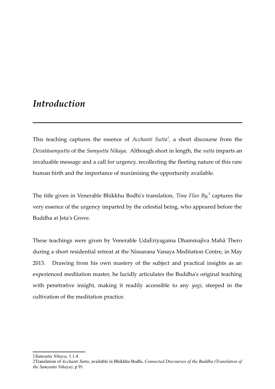### *Introduction*

This teaching captures the essence of *Acchanti Sutta[1](#page-2-0)* , a short discourse from the *Devatāsamyutta* of the *Samyutta Nikaya*. Although short in length, the *sutta* imparts an invaluable message and a call for urgency, recollecting the fleeting nature of this rare human birth and the importance of maximising the opportunity available.

The title given in Venerable Bhikkhu Bodhi's translation, *Time Flies By*,<sup>[2](#page-2-1)</sup> captures the very essence of the urgency imparted by the celestial being, who appeared before the Buddha at Jeta's Grove.

These teachings were given by Venerable UdaEriyagama Dhammajīva Mahā Thero during a short residential retreat at the Nissarana Vanaya Meditation Centre, in May 2013. Drawing from his own mastery of the subject and practical insights as an experienced meditation master, he lucidly articulates the Buddha's original teaching with penetrative insight, making it readily accessible to any *yogi*, steeped in the cultivation of the meditation practice.

<span id="page-2-0"></span>1*Samyutta Nikaya*, 1.1.4.

<span id="page-2-1"></span><sup>2</sup>Translation of *Acchanti Sutta*, available in Bhikkhu Bodhi, *Connected Discourses of the Buddha (Translation of the Samyutta Nikaya)*, p 91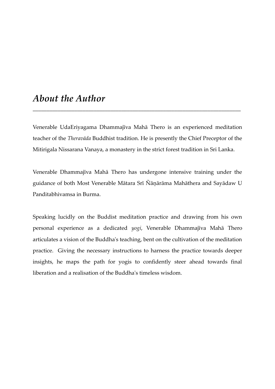### *About the Author*

Venerable UdaEriyagama Dhammajīva Mahā Thero is an experienced meditation teacher of the *Theravāda* Buddhist tradition. He is presently the Chief Preceptor of the Mitirigala Nissarana Vanaya, a monastery in the strict forest tradition in Sri Lanka.

\_\_\_\_\_\_\_\_\_\_\_\_\_\_\_\_\_\_\_\_\_\_\_\_\_\_\_\_\_\_\_\_\_\_\_\_\_\_\_\_\_\_\_\_\_\_\_\_\_\_\_\_\_\_\_\_\_\_\_\_\_\_\_\_\_\_\_\_\_\_\_\_\_\_\_

Venerable Dhammajīva Mahā Thero has undergone intensive training under the guidance of both Most Venerable Mātara Srī Ñāņārāma Mahāthera and Sayādaw U Panditabhivamsa in Burma.

Speaking lucidly on the Buddist meditation practice and drawing from his own personal experience as a dedicated *yogi*, Venerable Dhammajīva Mahā Thero articulates a vision of the Buddha's teaching, bent on the cultivation of the meditation practice. Giving the necessary instructions to harness the practice towards deeper insights, he maps the path for yogis to confidently steer ahead towards final liberation and a realisation of the Buddha's timeless wisdom.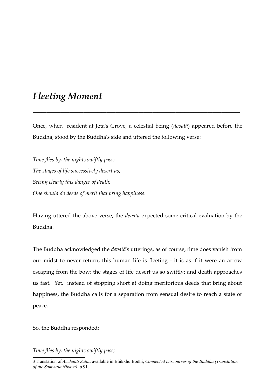### *Fleeting Moment*

Once, when resident at Jeta's Grove, a celestial being (*devatā*) appeared before the Buddha, stood by the Buddha's side and uttered the following verse:

*\_\_\_\_\_\_\_\_\_\_\_\_\_\_\_\_\_\_\_\_\_\_\_\_\_\_\_\_\_\_\_\_\_\_\_\_\_\_\_\_\_\_\_\_\_*

*Time flies by, the nights swiftly pass;[3](#page-4-0) The stages of life successively desert us; Seeing clearly this danger of death; One should do deeds of merit that bring happiness.*

Having uttered the above verse, the *devatā* expected some critical evaluation by the Buddha.

The Buddha acknowledged the *devatā*'s utterings, as of course, time does vanish from our midst to never return; this human life is fleeting - it is as if it were an arrow escaping from the bow; the stages of life desert us so swiftly; and death approaches us fast. Yet, instead of stopping short at doing meritorious deeds that bring about happiness, the Buddha calls for a separation from sensual desire to reach a state of peace.

So, the Buddha responded:

*Time flies by, the nights swiftly pass;*

<span id="page-4-0"></span><sup>3</sup>Translation of *Acchanti Sutta*, available in Bhikkhu Bodhi, *Connected Discourses of the Buddha (Translation of the Samyutta Nikaya)*, p 91.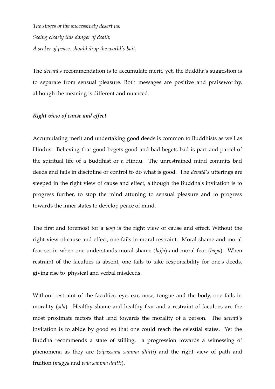*The stages of life successively desert us; Seeing clearly this danger of death; A seeker of peace, should drop the world's bait.*

The *devatā*'s recommendation is to accumulate merit, yet, the Buddha's suggestion is to separate from sensual pleasure. Both messages are positive and praiseworthy, although the meaning is different and nuanced.

#### *Right view of cause and effect*

Accumulating merit and undertaking good deeds is common to Buddhists as well as Hindus. Believing that good begets good and bad begets bad is part and parcel of the spiritual life of a Buddhist or a Hindu. The unrestrained mind commits bad deeds and fails in discipline or control to do what is good. The *devatā's* utterings are steeped in the right view of cause and effect, although the Buddha's invitation is to progress further, to stop the mind attuning to sensual pleasure and to progress towards the inner states to develop peace of mind.

The first and foremost for a *yogi* is the right view of cause and effect. Without the right view of cause and effect, one fails in moral restraint. Moral shame and moral fear set in when one understands moral shame (*lajjā*) and moral fear (*baya*). When restraint of the faculties is absent, one fails to take responsibility for one's deeds, giving rise to physical and verbal misdeeds.

Without restraint of the faculties: eye, ear, nose, tongue and the body, one fails in morality (*sīla*). Healthy shame and healthy fear and a restraint of faculties are the most proximate factors that lend towards the morality of a person. The *devatā'*s invitation is to abide by good so that one could reach the celestial states. Yet the Buddha recommends a state of stilling, a progression towards a witnessing of phenomena as they are (*vipassanā samma dhitti*) and the right view of path and fruition (*magga* and *pala samma dhitti*).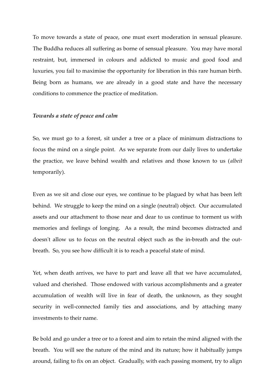To move towards a state of peace, one must exert moderation in sensual pleasure. The Buddha reduces all suffering as borne of sensual pleasure. You may have moral restraint, but, immersed in colours and addicted to music and good food and luxuries, you fail to maximise the opportunity for liberation in this rare human birth. Being born as humans, we are already in a good state and have the necessary conditions to commence the practice of meditation.

#### *Towards a state of peace and calm*

So, we must go to a forest, sit under a tree or a place of minimum distractions to focus the mind on a single point. As we separate from our daily lives to undertake the practice, we leave behind wealth and relatives and those known to us (*albeit* temporarily).

Even as we sit and close our eyes, we continue to be plagued by what has been left behind. We struggle to keep the mind on a single (neutral) object. Our accumulated assets and our attachment to those near and dear to us continue to torment us with memories and feelings of longing. As a result, the mind becomes distracted and doesn't allow us to focus on the neutral object such as the in-breath and the outbreath. So, you see how difficult it is to reach a peaceful state of mind.

Yet, when death arrives, we have to part and leave all that we have accumulated, valued and cherished. Those endowed with various accomplishments and a greater accumulation of wealth will live in fear of death, the unknown, as they sought security in well-connected family ties and associations, and by attaching many investments to their name.

Be bold and go under a tree or to a forest and aim to retain the mind aligned with the breath. You will see the nature of the mind and its nature; how it habitually jumps around, failing to fix on an object. Gradually, with each passing moment, try to align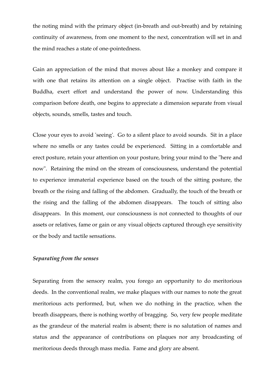the noting mind with the primary object (in-breath and out-breath) and by retaining continuity of awareness, from one moment to the next, concentration will set in and the mind reaches a state of one-pointedness.

Gain an appreciation of the mind that moves about like a monkey and compare it with one that retains its attention on a single object. Practise with faith in the Buddha, exert effort and understand the power of now. Understanding this comparison before death, one begins to appreciate a dimension separate from visual objects, sounds, smells, tastes and touch.

Close your eyes to avoid 'seeing'. Go to a silent place to avoid sounds. Sit in a place where no smells or any tastes could be experienced. Sitting in a comfortable and erect posture, retain your attention on your posture, bring your mind to the "here and now". Retaining the mind on the stream of consciousness, understand the potential to experience immaterial experience based on the touch of the sitting posture, the breath or the rising and falling of the abdomen. Gradually, the touch of the breath or the rising and the falling of the abdomen disappears. The touch of sitting also disappears. In this moment, our consciousness is not connected to thoughts of our assets or relatives, fame or gain or any visual objects captured through eye sensitivity or the body and tactile sensations.

#### *Separating from the senses*

Separating from the sensory realm, you forego an opportunity to do meritorious deeds. In the conventional realm, we make plaques with our names to note the great meritorious acts performed, but, when we do nothing in the practice, when the breath disappears, there is nothing worthy of bragging. So, very few people meditate as the grandeur of the material realm is absent; there is no salutation of names and status and the appearance of contributions on plaques nor any broadcasting of meritorious deeds through mass media. Fame and glory are absent.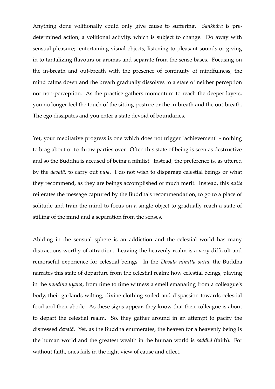Anything done volitionally could only give cause to suffering. *Sankhāra* is predetermined action; a volitional activity, which is subject to change. Do away with sensual pleasure; entertaining visual objects, listening to pleasant sounds or giving in to tantalizing flavours or aromas and separate from the sense bases. Focusing on the in-breath and out-breath with the presence of continuity of mindfulness, the mind calms down and the breath gradually dissolves to a state of neither perception nor non-perception. As the practice gathers momentum to reach the deeper layers, you no longer feel the touch of the sitting posture or the in-breath and the out-breath. The ego dissipates and you enter a state devoid of boundaries.

Yet, your meditative progress is one which does not trigger "achievement" - nothing to brag about or to throw parties over. Often this state of being is seen as destructive and so the Buddha is accused of being a nihilist. Instead, the preference is, as uttered by the *devatā*, to carry out *puja*. I do not wish to disparage celestial beings or what they recommend, as they are beings accomplished of much merit. Instead, this *sutta* reiterates the message captured by the Buddha's recommendation, to go to a place of solitude and train the mind to focus on a single object to gradually reach a state of stilling of the mind and a separation from the senses.

Abiding in the sensual sphere is an addiction and the celestial world has many distractions worthy of attraction. Leaving the heavenly realm is a very difficult and remorseful experience for celestial beings. In the *Devatā nimitta sutta*, the Buddha narrates this state of departure from the celestial realm; how celestial beings, playing in the *nandina uyana*, from time to time witness a smell emanating from a colleague's body, their garlands wilting, divine clothing soiled and dispassion towards celestial food and their abode. As these signs appear, they know that their colleague is about to depart the celestial realm. So, they gather around in an attempt to pacify the distressed *devatā*. Yet, as the Buddha enumerates, the heaven for a heavenly being is the human world and the greatest wealth in the human world is *saddhā* (faith). For without faith, ones fails in the right view of cause and effect.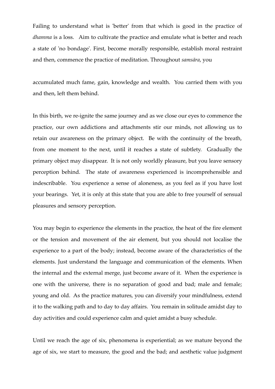Failing to understand what is 'better' from that which is good in the practice of *dhamma* is a loss. Aim to cultivate the practice and emulate what is better and reach a state of 'no bondage'. First, become morally responsible, establish moral restraint and then, commence the practice of meditation. Throughout *samsāra*, you

accumulated much fame, gain, knowledge and wealth. You carried them with you and then, left them behind.

In this birth, we re-ignite the same journey and as we close our eyes to commence the practice, our own addictions and attachments stir our minds, not allowing us to retain our awareness on the primary object. Be with the continuity of the breath, from one moment to the next, until it reaches a state of subtlety. Gradually the primary object may disappear. It is not only worldly pleasure, but you leave sensory perception behind. The state of awareness experienced is incomprehensible and indescribable. You experience a sense of aloneness, as you feel as if you have lost your bearings. Yet, it is only at this state that you are able to free yourself of sensual pleasures and sensory perception.

You may begin to experience the elements in the practice, the heat of the fire element or the tension and movement of the air element, but you should not localise the experience to a part of the body; instead, become aware of the characteristics of the elements. Just understand the language and communication of the elements. When the internal and the external merge, just become aware of it. When the experience is one with the universe, there is no separation of good and bad; male and female; young and old. As the practice matures, you can diversify your mindfulness, extend it to the walking path and to day to day affairs. You remain in solitude amidst day to day activities and could experience calm and quiet amidst a busy schedule.

Until we reach the age of six, phenomena is experiential; as we mature beyond the age of six, we start to measure, the good and the bad; and aesthetic value judgment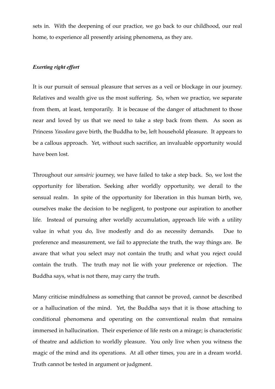sets in. With the deepening of our practice, we go back to our childhood, our real home, to experience all presently arising phenomena, as they are.

#### *Exerting right effort*

It is our pursuit of sensual pleasure that serves as a veil or blockage in our journey. Relatives and wealth give us the most suffering. So, when we practice, we separate from them, at least, temporarily. It is because of the danger of attachment to those near and loved by us that we need to take a step back from them. As soon as Princess *Yasodara* gave birth, the Buddha to be, left household pleasure. It appears to be a callous approach. Yet, without such sacrifice, an invaluable opportunity would have been lost.

Throughout our *samsāric* journey, we have failed to take a step back. So, we lost the opportunity for liberation. Seeking after worldly opportunity, we derail to the sensual realm. In spite of the opportunity for liberation in this human birth, we, ourselves make the decision to be negligent, to postpone our aspiration to another life. Instead of pursuing after worldly accumulation, approach life with a utility value in what you do, live modestly and do as necessity demands. Due to preference and measurement, we fail to appreciate the truth, the way things are. Be aware that what you select may not contain the truth; and what you reject could contain the truth. The truth may not lie with your preference or rejection. The Buddha says, what is not there, may carry the truth.

Many criticise mindfulness as something that cannot be proved, cannot be described or a hallucination of the mind. Yet, the Buddha says that it is those attaching to conditional phenomena and operating on the conventional realm that remains immersed in hallucination. Their experience of life rests on a mirage; is characteristic of theatre and addiction to worldly pleasure. You only live when you witness the magic of the mind and its operations. At all other times, you are in a dream world. Truth cannot be tested in argument or judgment.